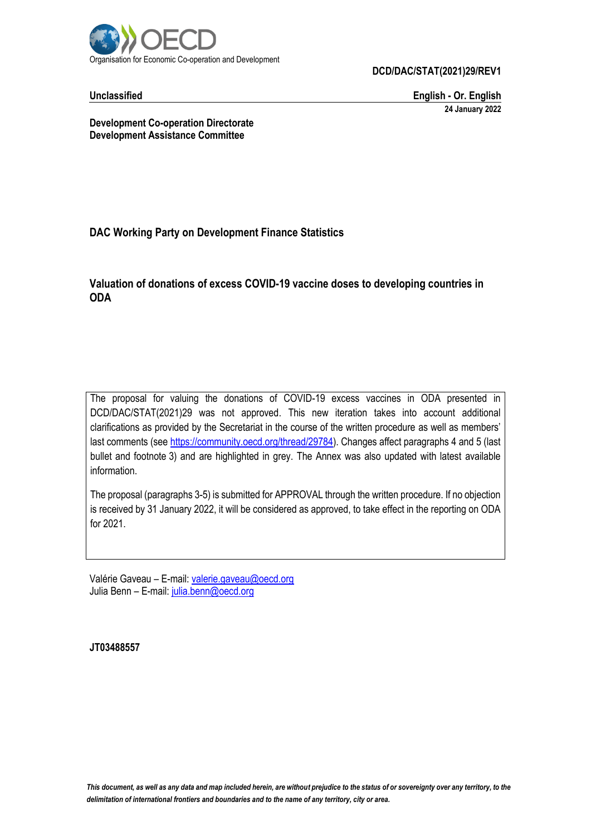

**DCD/DAC/STAT(2021)29/REV1**

**Unclassified English - Or. English 24 January 2022**

**Development Co-operation Directorate Development Assistance Committee**

## **DAC Working Party on Development Finance Statistics**

#### **Valuation of donations of excess COVID-19 vaccine doses to developing countries in ODA**

The proposal for valuing the donations of COVID-19 excess vaccines in ODA presented in DCD/DAC/STAT(2021)29 was not approved. This new iteration takes into account additional clarifications as provided by the Secretariat in the course of the written procedure as well as members' last comments (se[e https://community.oecd.org/thread/29784\)](https://community.oecd.org/thread/29784). Changes affect paragraphs 4 and 5 (last bullet and footnote 3) and are highlighted in grey. The Annex was also updated with latest available information.

The proposal (paragraphs 3-5) is submitted for APPROVAL through the written procedure. If no objection is received by 31 January 2022, it will be considered as approved, to take effect in the reporting on ODA for 2021.

Valérie Gaveau – E-mail: [valerie.gaveau@oecd.org](mailto:valerie.gaveau@oecd.org) Julia Benn - E-mail: [julia.benn@oecd.org](mailto:julia.benn@oecd.org)

**JT03488557**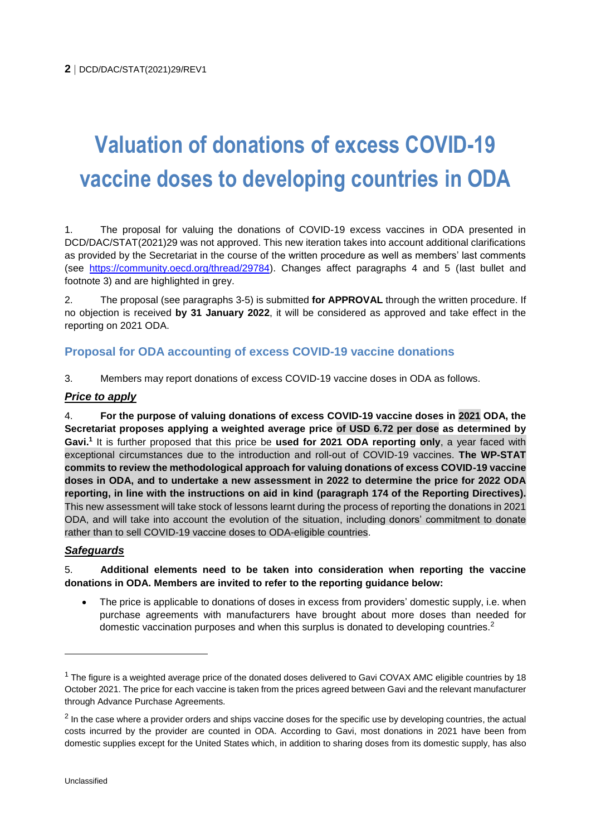# **Valuation of donations of excess COVID-19 vaccine doses to developing countries in ODA**

1. The proposal for valuing the donations of COVID-19 excess vaccines in ODA presented in DCD/DAC/STAT(2021)29 was not approved. This new iteration takes into account additional clarifications as provided by the Secretariat in the course of the written procedure as well as members' last comments (see [https://community.oecd.org/thread/29784\)](https://community.oecd.org/thread/29784). Changes affect paragraphs 4 and 5 (last bullet and footnote 3) and are highlighted in grey.

2. The proposal (see paragraphs 3-5) is submitted **for APPROVAL** through the written procedure. If no objection is received **by 31 January 2022**, it will be considered as approved and take effect in the reporting on 2021 ODA.

# **Proposal for ODA accounting of excess COVID-19 vaccine donations**

3. Members may report donations of excess COVID-19 vaccine doses in ODA as follows.

#### *Price to apply*

4. **For the purpose of valuing donations of excess COVID-19 vaccine doses in 2021 ODA, the Secretariat proposes applying a weighted average price of USD 6.72 per dose as determined by Gavi. 1** It is further proposed that this price be **used for 2021 ODA reporting only**, a year faced with exceptional circumstances due to the introduction and roll-out of COVID-19 vaccines. **The WP-STAT commits to review the methodological approach for valuing donations of excess COVID-19 vaccine doses in ODA, and to undertake a new assessment in 2022 to determine the price for 2022 ODA reporting, in line with the instructions on aid in kind (paragraph 174 of the Reporting Directives).**  This new assessment will take stock of lessons learnt during the process of reporting the donations in 2021 ODA, and will take into account the evolution of the situation, including donors' commitment to donate rather than to sell COVID-19 vaccine doses to ODA-eligible countries.

### *Safeguards*

#### 5. **Additional elements need to be taken into consideration when reporting the vaccine donations in ODA. Members are invited to refer to the reporting guidance below:**

 The price is applicable to donations of doses in excess from providers' domestic supply, i.e. when purchase agreements with manufacturers have brought about more doses than needed for domestic vaccination purposes and when this surplus is donated to developing countries.<sup>2</sup>

 $\overline{a}$ 

 $1$  The figure is a weighted average price of the donated doses delivered to Gavi COVAX AMC eligible countries by 18 October 2021. The price for each vaccine is taken from the prices agreed between Gavi and the relevant manufacturer through Advance Purchase Agreements.

 $2$  In the case where a provider orders and ships vaccine doses for the specific use by developing countries, the actual costs incurred by the provider are counted in ODA. According to Gavi, most donations in 2021 have been from domestic supplies except for the United States which, in addition to sharing doses from its domestic supply, has also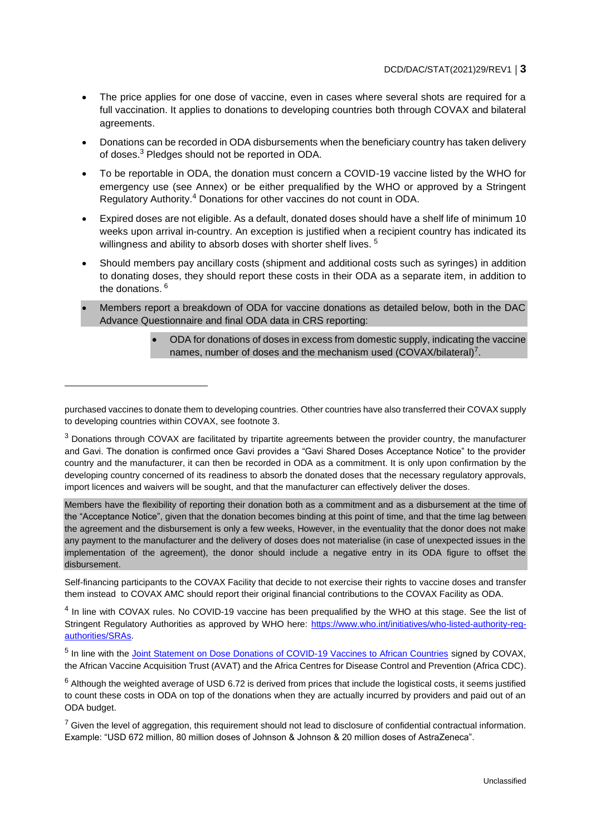- The price applies for one dose of vaccine, even in cases where several shots are required for a full vaccination. It applies to donations to developing countries both through COVAX and bilateral agreements.
- Donations can be recorded in ODA disbursements when the beneficiary country has taken delivery of doses.<sup>3</sup> Pledges should not be reported in ODA.
- To be reportable in ODA, the donation must concern a COVID-19 vaccine listed by the WHO for emergency use (see Annex) or be either prequalified by the WHO or approved by a Stringent Regulatory Authority.<sup>4</sup> Donations for other vaccines do not count in ODA.
- Expired doses are not eligible. As a default, donated doses should have a shelf life of minimum 10 weeks upon arrival in-country. An exception is justified when a recipient country has indicated its willingness and ability to absorb doses with shorter shelf lives.<sup>5</sup>
- Should members pay ancillary costs (shipment and additional costs such as syringes) in addition to donating doses, they should report these costs in their ODA as a separate item, in addition to the donations. <sup>6</sup>
- Members report a breakdown of ODA for vaccine donations as detailed below, both in the DAC Advance Questionnaire and final ODA data in CRS reporting:
	- ODA for donations of doses in excess from domestic supply, indicating the vaccine names, number of doses and the mechanism used (COVAX/bilateral)<sup>7</sup>.

Members have the flexibility of reporting their donation both as a commitment and as a disbursement at the time of the "Acceptance Notice", given that the donation becomes binding at this point of time, and that the time lag between the agreement and the disbursement is only a few weeks, However, in the eventuality that the donor does not make any payment to the manufacturer and the delivery of doses does not materialise (in case of unexpected issues in the implementation of the agreement), the donor should include a negative entry in its ODA figure to offset the disbursement.

Self-financing participants to the COVAX Facility that decide to not exercise their rights to vaccine doses and transfer them instead to COVAX AMC should report their original financial contributions to the COVAX Facility as ODA.

<sup>4</sup> In line with COVAX rules. No COVID-19 vaccine has been prequalified by the WHO at this stage. See the list of Stringent Regulatory Authorities as approved by WHO here: [https://www.who.int/initiatives/who-listed-authority-reg](https://www.who.int/initiatives/who-listed-authority-reg-authorities/SRAs)[authorities/SRAs.](https://www.who.int/initiatives/who-listed-authority-reg-authorities/SRAs)

<sup>5</sup> In line with the [Joint Statement on Dose Donations of COVID-19 Vaccines to African Countries](https://www.gavi.org/news/media-room/joint-statement-dose-donations-covid-19-vaccines-african-countries) signed by COVAX, the African Vaccine Acquisition Trust (AVAT) and the Africa Centres for Disease Control and Prevention (Africa CDC).

 $6$  Although the weighted average of USD 6.72 is derived from prices that include the logistical costs, it seems justified to count these costs in ODA on top of the donations when they are actually incurred by providers and paid out of an ODA budget.

 $7$  Given the level of aggregation, this requirement should not lead to disclosure of confidential contractual information. Example: "USD 672 million, 80 million doses of Johnson & Johnson & 20 million doses of AstraZeneca".

purchased vaccines to donate them to developing countries. Other countries have also transferred their COVAX supply to developing countries within COVAX, see footnote 3.

 $3$  Donations through COVAX are facilitated by tripartite agreements between the provider country, the manufacturer and Gavi. The donation is confirmed once Gavi provides a "Gavi Shared Doses Acceptance Notice" to the provider country and the manufacturer, it can then be recorded in ODA as a commitment. It is only upon confirmation by the developing country concerned of its readiness to absorb the donated doses that the necessary regulatory approvals, import licences and waivers will be sought, and that the manufacturer can effectively deliver the doses.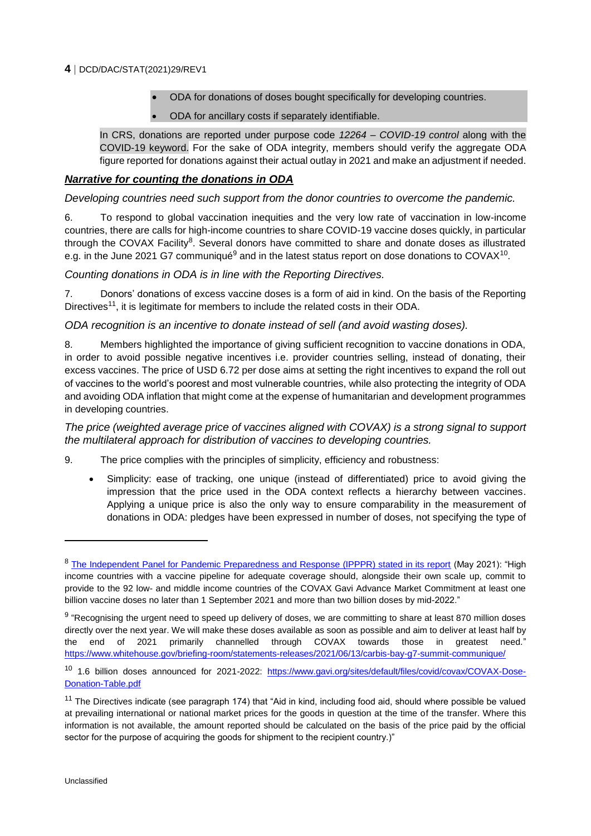#### **4** DCD/DAC/STAT(2021)29/REV1

- ODA for donations of doses bought specifically for developing countries.
- ODA for ancillary costs if separately identifiable.

In CRS, donations are reported under purpose code *12264 – COVID-19 control* along with the COVID-19 keyword. For the sake of ODA integrity, members should verify the aggregate ODA figure reported for donations against their actual outlay in 2021 and make an adjustment if needed.

#### *Narrative for counting the donations in ODA*

*Developing countries need such support from the donor countries to overcome the pandemic.*

6. To respond to global vaccination inequities and the very low rate of vaccination in low-income countries, there are calls for high-income countries to share COVID-19 vaccine doses quickly, in particular through the COVAX Facility<sup>8</sup>. Several donors have committed to share and donate doses as illustrated e.g. in the June 2021 G7 communiqué<sup>9</sup> and in the latest status report on dose donations to COVAX<sup>10</sup>.

#### *Counting donations in ODA is in line with the Reporting Directives.*

7. Donors' donations of excess vaccine doses is a form of aid in kind. On the basis of the Reporting Directives<sup>11</sup>, it is legitimate for members to include the related costs in their ODA.

*ODA recognition is an incentive to donate instead of sell (and avoid wasting doses).*

8. Members highlighted the importance of giving sufficient recognition to vaccine donations in ODA, in order to avoid possible negative incentives i.e. provider countries selling, instead of donating, their excess vaccines. The price of USD 6.72 per dose aims at setting the right incentives to expand the roll out of vaccines to the world's poorest and most vulnerable countries, while also protecting the integrity of ODA and avoiding ODA inflation that might come at the expense of humanitarian and development programmes in developing countries.

*The price (weighted average price of vaccines aligned with COVAX) is a strong signal to support the multilateral approach for distribution of vaccines to developing countries.*

- 9. The price complies with the principles of simplicity, efficiency and robustness:
	- Simplicity: ease of tracking, one unique (instead of differentiated) price to avoid giving the impression that the price used in the ODA context reflects a hierarchy between vaccines. Applying a unique price is also the only way to ensure comparability in the measurement of donations in ODA: pledges have been expressed in number of doses, not specifying the type of

<sup>&</sup>lt;sup>8</sup> [The Independent Panel for Pandemic Preparedness and Response \(IPPPR\) stated in its report](https://theindependentpanel.org/wp-content/uploads/2021/05/Summary_COVID-19-Make-it-the-Last-Pandemic_final.pdf) (May 2021): "High income countries with a vaccine pipeline for adequate coverage should, alongside their own scale up, commit to provide to the 92 low- and middle income countries of the COVAX Gavi Advance Market Commitment at least one billion vaccine doses no later than 1 September 2021 and more than two billion doses by mid-2022."

<sup>&</sup>lt;sup>9</sup> "Recognising the urgent need to speed up delivery of doses, we are committing to share at least 870 million doses directly over the next year. We will make these doses available as soon as possible and aim to deliver at least half by the end of 2021 primarily channelled through COVAX towards those in greatest need." <https://www.whitehouse.gov/briefing-room/statements-releases/2021/06/13/carbis-bay-g7-summit-communique/>

<sup>10 1.6</sup> billion doses announced for 2021-2022: [https://www.gavi.org/sites/default/files/covid/covax/COVAX-Dose-](https://www.gavi.org/sites/default/files/covid/covax/COVAX-Dose-Donation-Table.pdf)[Donation-Table.pdf](https://www.gavi.org/sites/default/files/covid/covax/COVAX-Dose-Donation-Table.pdf)

<sup>&</sup>lt;sup>11</sup> The Directives indicate (see paragraph 174) that "Aid in kind, including food aid, should where possible be valued at prevailing international or national market prices for the goods in question at the time of the transfer. Where this information is not available, the amount reported should be calculated on the basis of the price paid by the official sector for the purpose of acquiring the goods for shipment to the recipient country.)"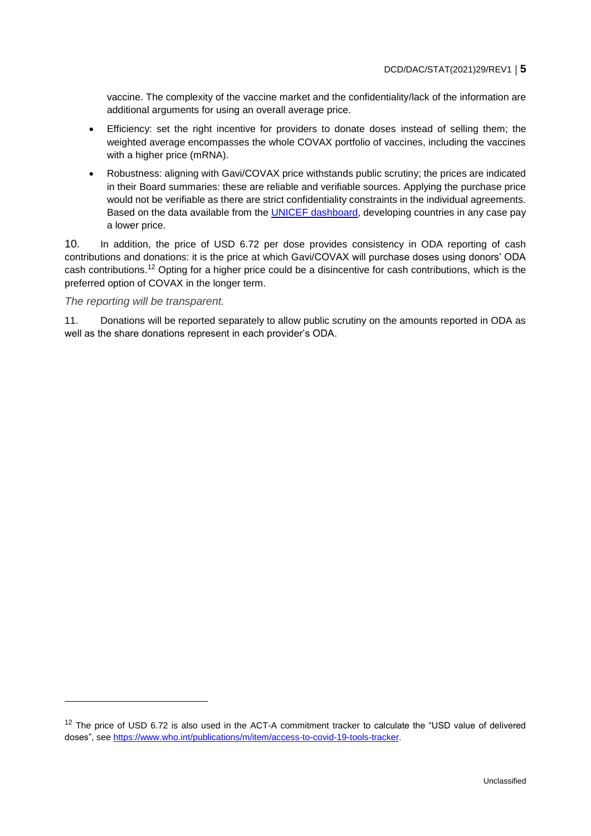vaccine. The complexity of the vaccine market and the confidentiality/lack of the information are additional arguments for using an overall average price.

- Efficiency: set the right incentive for providers to donate doses instead of selling them; the weighted average encompasses the whole COVAX portfolio of vaccines, including the vaccines with a higher price (mRNA).
- Robustness: aligning with Gavi/COVAX price withstands public scrutiny; the prices are indicated in their Board summaries: these are reliable and verifiable sources. Applying the purchase price would not be verifiable as there are strict confidentiality constraints in the individual agreements. Based on the data available from the [UNICEF dashboard,](https://www.unicef.org/supply/covid-19-vaccine-market-dashboard) developing countries in any case pay a lower price.

10. In addition, the price of USD 6.72 per dose provides consistency in ODA reporting of cash contributions and donations: it is the price at which Gavi/COVAX will purchase doses using donors' ODA cash contributions.<sup>12</sup> Opting for a higher price could be a disincentive for cash contributions, which is the preferred option of COVAX in the longer term.

#### *The reporting will be transparent.*

 $\overline{a}$ 

11. Donations will be reported separately to allow public scrutiny on the amounts reported in ODA as well as the share donations represent in each provider's ODA.

<sup>&</sup>lt;sup>12</sup> The price of USD 6.72 is also used in the ACT-A commitment tracker to calculate the "USD value of delivered doses", see [https://www.who.int/publications/m/item/access-to-covid-19-tools-tracker.](https://www.who.int/publications/m/item/access-to-covid-19-tools-tracker)